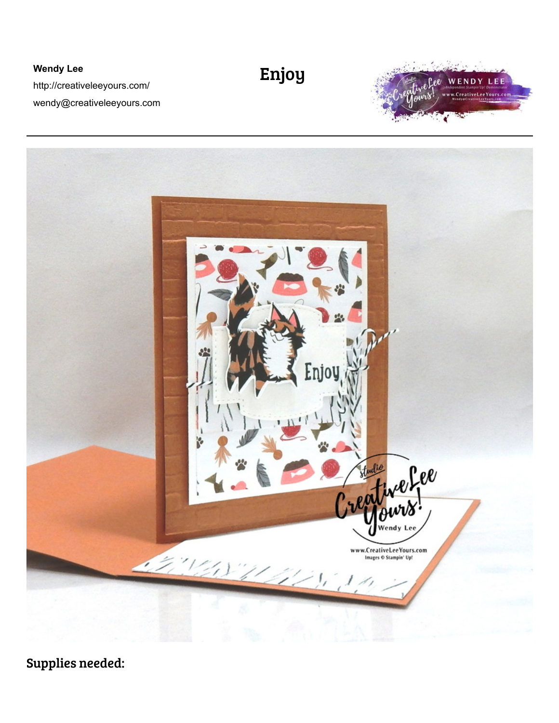**Wendy Lee**  http://creativeleeyours.com/ wendy@creativeleeyours.com

## Enjoy





Supplies needed: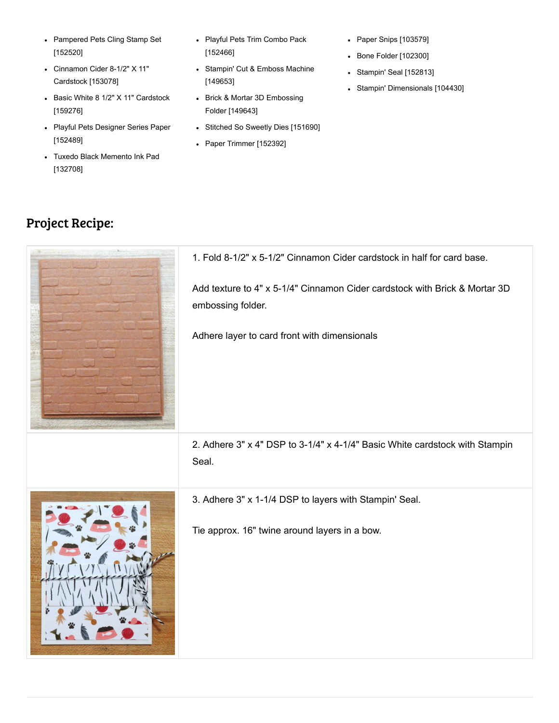- [Pampered Pets Cling Stamp Set](https://www.stampinup.com/products/pampered-pets-cling-stamp-set?demoid=73266) [152520]
- [Cinnamon Cider 8-1/2" X 11"](https://www.stampinup.com/products/cardstock-8-1-2x11-cinnamon-cider?demoid=73266) Cardstock [153078]
- [Basic White 8 1/2" X 11" Cardstock](https://www.stampinup.com/products/basic-white-8-1-2-x-11-cardstock?demoid=73266) [159276]
- [Playful Pets Designer Series Paper](https://www.stampinup.com/products/playful-pets-designer-series-paper?demoid=73266) [152489]
- [Tuxedo Black Memento Ink Pad](https://www.stampinup.com/products/memento-ink-pad-tuxedo-black?demoid=73266) [132708]
- [Playful Pets Trim Combo Pack](https://www.stampinup.com/products/playful-pets-trim-combo-pack?demoid=73266) [152466]
- [Stampin' Cut & Emboss Machine](https://www.stampinup.com/products/stampin-cut-emboss-machine?demoid=73266) [149653]
- [Brick & Mortar 3D Embossing](https://www.stampinup.com/products/embossing-folder-3d-brick-mortar?demoid=73266) Folder [149643]
- [Stitched So Sweetly Dies \[151690\]](https://www.stampinup.com/products/stitched-so-sweetly-dies?demoid=73266)
- [Paper Trimmer \[152392\]](https://www.stampinup.com/products/paper-trimmer?demoid=73266)
- [Paper Snips \[103579\]](https://www.stampinup.com/products/scissors-paper-snips?demoid=73266)
- [Bone Folder \[102300\]](https://www.stampinup.com/products/bone-folder?demoid=73266)
- [Stampin' Seal \[152813\]](https://www.stampinup.com/products/stampin-seal?demoid=73266)
- [Stampin' Dimensionals \[104430\]](https://www.stampinup.com/products/stampin-dimensionals?demoid=73266)

## Project Recipe: